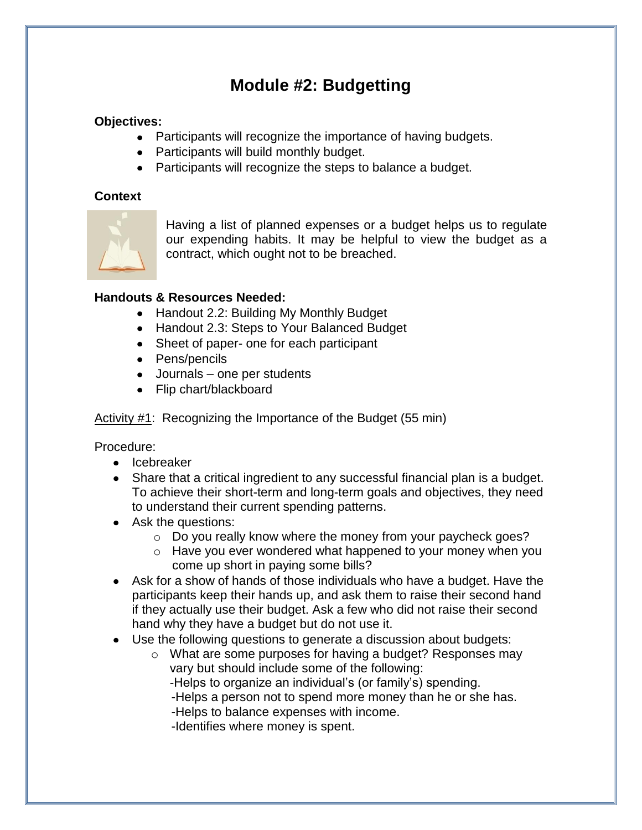# **Module #2: Budgetting**

### **Objectives:**

- Participants will recognize the importance of having budgets.
- Participants will build monthly budget.
- Participants will recognize the steps to balance a budget.

#### **Context**



Having a list of planned expenses or a budget helps us to regulate our expending habits. It may be helpful to view the budget as a contract, which ought not to be breached.

#### **Handouts & Resources Needed:**

- Handout 2.2: Building My Monthly Budget
- Handout 2.3: Steps to Your Balanced Budget
- Sheet of paper- one for each participant
- Pens/pencils
- Journals one per students
- Flip chart/blackboard

Activity #1: Recognizing the Importance of the Budget (55 min)

Procedure:

- Icebreaker
- Share that a critical ingredient to any successful financial plan is a budget. To achieve their short-term and long-term goals and objectives, they need to understand their current spending patterns.
- Ask the questions:
	- o Do you really know where the money from your paycheck goes?
	- o Have you ever wondered what happened to your money when you come up short in paying some bills?
- Ask for a show of hands of those individuals who have a budget. Have the participants keep their hands up, and ask them to raise their second hand if they actually use their budget. Ask a few who did not raise their second hand why they have a budget but do not use it.
- Use the following questions to generate a discussion about budgets:
	- o What are some purposes for having a budget? Responses may vary but should include some of the following:
		- -Helps to organize an individual's (or family's) spending.
		- -Helps a person not to spend more money than he or she has.
		- -Helps to balance expenses with income.
		- -Identifies where money is spent.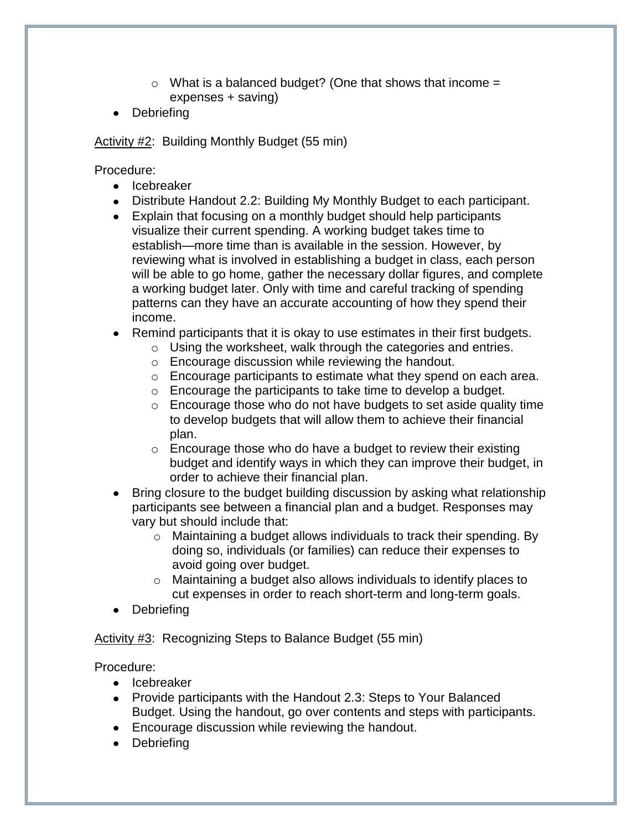- $\circ$  What is a balanced budget? (One that shows that income = expenses + saving)
- Debriefing  $\bullet$

Activity #2: Building Monthly Budget (55 min)

Procedure:

- Icebreaker
- Distribute Handout 2.2: Building My Monthly Budget to each participant.
- Explain that focusing on a monthly budget should help participants visualize their current spending. A working budget takes time to establish—more time than is available in the session. However, by reviewing what is involved in establishing a budget in class, each person will be able to go home, gather the necessary dollar figures, and complete a working budget later. Only with time and careful tracking of spending patterns can they have an accurate accounting of how they spend their income.
- Remind participants that it is okay to use estimates in their first budgets.
	- $\circ$  Using the worksheet, walk through the categories and entries.
	- o Encourage discussion while reviewing the handout.
	- o Encourage participants to estimate what they spend on each area.
	- o Encourage the participants to take time to develop a budget.
	- $\circ$  Encourage those who do not have budgets to set aside quality time to develop budgets that will allow them to achieve their financial plan.
	- $\circ$  Encourage those who do have a budget to review their existing budget and identify ways in which they can improve their budget, in order to achieve their financial plan.
- Bring closure to the budget building discussion by asking what relationship participants see between a financial plan and a budget. Responses may vary but should include that:
	- o Maintaining a budget allows individuals to track their spending. By doing so, individuals (or families) can reduce their expenses to avoid going over budget.
	- o Maintaining a budget also allows individuals to identify places to cut expenses in order to reach short-term and long-term goals.
- Debriefing

Activity #3: Recognizing Steps to Balance Budget (55 min)

Procedure:

- Icebreaker
- Provide participants with the Handout 2.3: Steps to Your Balanced Budget. Using the handout, go over contents and steps with participants.
- Encourage discussion while reviewing the handout.
- Debriefing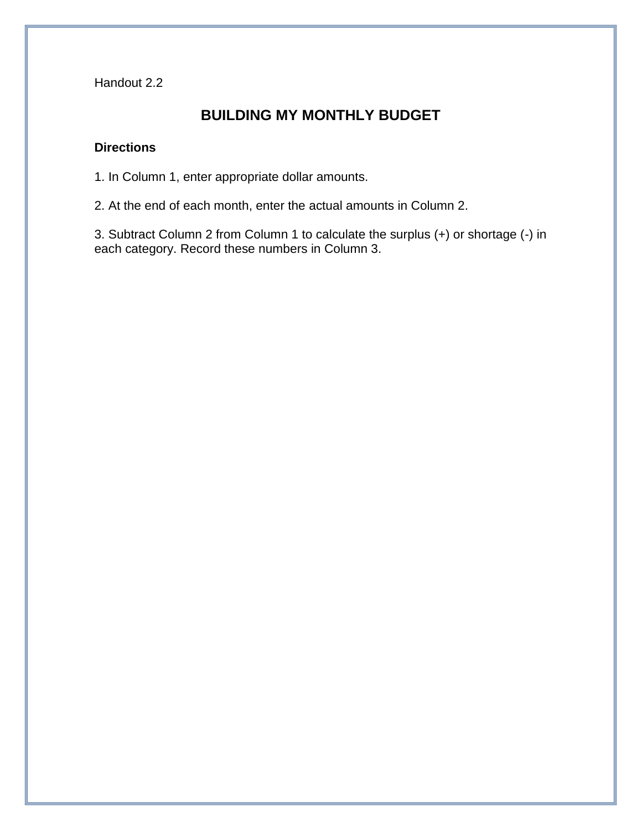Handout 2.2

## **BUILDING MY MONTHLY BUDGET**

### **Directions**

1. In Column 1, enter appropriate dollar amounts.

2. At the end of each month, enter the actual amounts in Column 2.

3. Subtract Column 2 from Column 1 to calculate the surplus (+) or shortage (-) in each category. Record these numbers in Column 3.